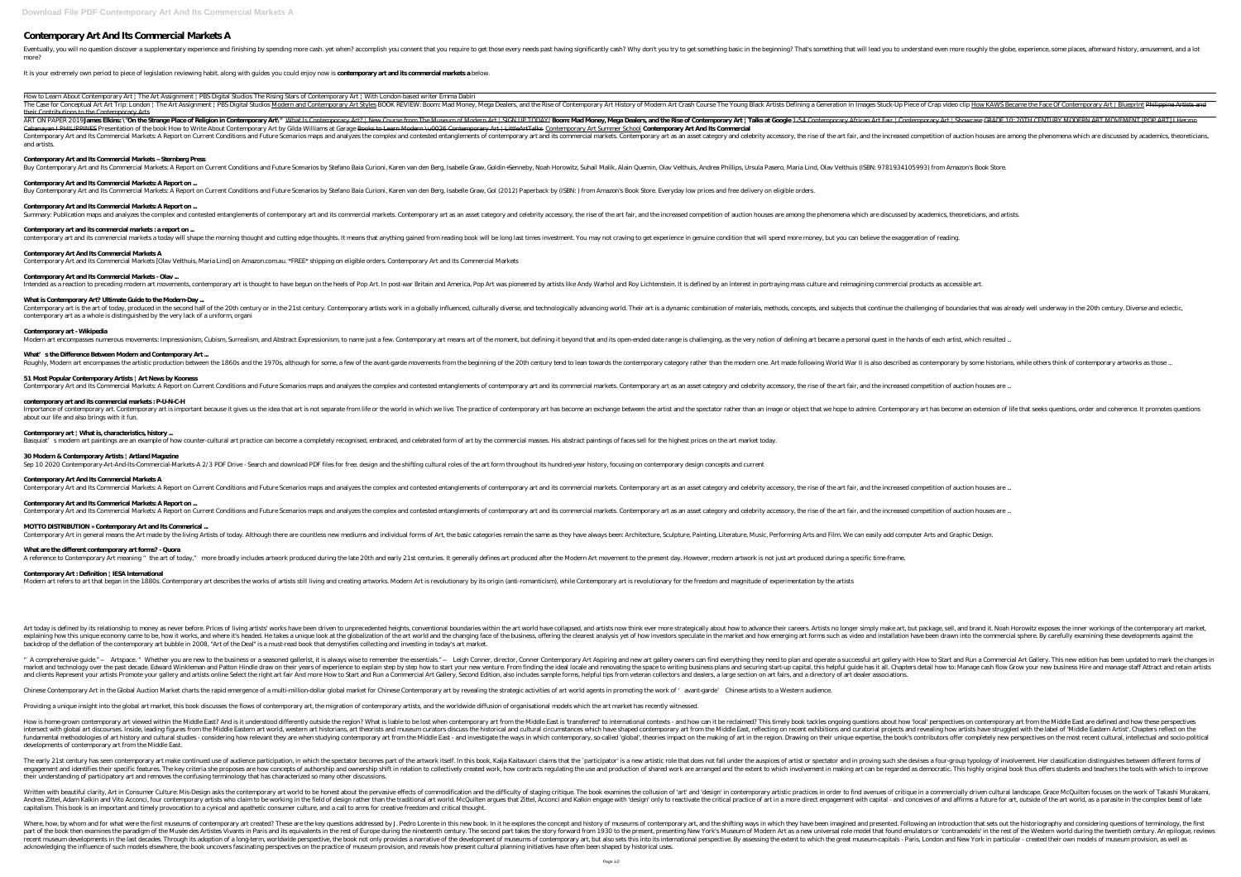# **Contemporary Art And Its Commercial Markets A**

Eventually, you will no question discover a supplementary experience and finishing by spending more cash. yet when? accomplish you consent that you require to get those every needs past having significantly cash? Why don't more?

It is your extremely own period to piece of legislation reviewing habit. along with guides you could enjoy now is **contemporary art and its commercial markets a** below.

How to Learn About Contemporary Art | The Art Assignment | PBS Digital Studios The Rising Stars of Contemporary Art | With London-based writer Emma Dabiri The Case for Conceptual Art Art Trip: London | The Art Assignment | PBS Digital Studios Modern and Contemporary Art Styles BOOK REVIEW: Boom: Mad Money, Mega Dealers, and the Rise of Contemporary Art History of Modern Art their Contributions to the Contemporary Arts

ART ON PAPER 2019**James Elkins**\ "**On the Strange Place of Religion in Contemporary Art**\" What Is Contemporary Art? | New Course from The Museum of Modern Art | SIGN UP TODAY! **Boom Mad Money, Mega Dealers, and the Rise o** and artists. Buy Contemporary Art and Its Commercial Markets: A Report on Current Conditions and Future Scenarios by Stefano Baia Curioni, Karen van den Berg, Isabelle Graw, Gol (2012) Paperback by (ISBN: ) from Amazon's Book Store. Ev

Cabanayan I PHILIPPINES Presentation of the book How to Write About Contemporary Art by Gilda Williams at Garage Books to Learn Modern \u0026 Contemporary Art | LittleArtTalks Contemporary Art Summer School Contemporary Ar Contemporary Art and Its Commercial Markets: A Report on Current Conditions and Future Scenarios maps and analyzes the complex and contested entanglements of contemporary art as an asset category and celebrity accessory, t **Contemporary Art and Its Commercial Markets – Sternberg Press** Buy Contemporary Art and Its Commercial Markets: A Report on Current Conditions and Future Scenarios by Stefano Baia Curioni, Karen van den Berg, Isabelle Graw, Goldin+Senneby, Noah Horowitz, Suhail Malik, Alain Quemin, Ol **Contemporary Art and Its Commercial Markets: A Report on ... Contemporary Art and Its Commercial Markets: A Report on ...** Summary: Publication maps and analyzes the complex and contested entanglements of contemporary art and its commercial markets. Contemporary art as an asset category and celebrity accessory, the rise of the art fair, and th **Contemporary art and its commercial markets : a report on ...** contemporary art and its commercial markets a today will shape the morning thought and cutting edge thoughts. It means that anything gained from reading book will be long last times investment. You may not craving to get e **Contemporary Art And Its Commercial Markets A** Contemporary Art and Its Commercial Markets [Olav Velthuis, Maria Lind] on Amazon.com.au. \*FREE\* shipping on eligible orders. Contemporary Art and Its Commercial Markets **Contemporary Art and Its Commercial Markets - Olav ...** Intended as a reaction to preceding modern art movements, contemporary art is thought to have begun on the heels of Pop Art. In post-war Britain and America, Pop Art was pioneered by artists like Andy Warhol and Roy Lichte **What is Contemporary Art? Ultimate Guide to the Modern-Day ...** Contemporary art is the art of today, produced in the second half of the 20th century or in the 21st century. Contemporary artists work in a globally influenced, culturally diverse, and subjects that continue the challengi contemporary art as a whole is distinguished by the very lack of a uniform, organi **Contemporary art - Wikipedia** Modern art encompasses numerous movements: Impressionism, Cubism, Surrealism, and Abstract Expressionism, to name just a few. Contemporary art means art of the moment, but defining it beyond that and its open-ended date ra What's the Difference Between Modern and Contemporary Art ... Roughly, Modern art encompasses the artistic production between the 1860s and the 1970s, although for some, a few of the avant-garde movements from the beginning of the 20th century tend to lean towards the contemporary by **51 Most Popular Contemporary Artists | Art News by Kooness** Contemporary Art and Its Commercial Markets: A Report on Current Conditions and Future Scenarios maps and analyzes the complex and contested entanglements of contemporary art as an asset category and celebrity accessory, t

Importance of contemporary art. Contemporary art is important because it gives us the idea that art is not separate from life or the world in which we live. The practice of contemporary art has become an exchange between t about our life and also brings with it fun.

Art today is defined by its relationship to money as never before. Prices of living artists' works have been driven to unprecedented heights, conventional boundaries within the art world have collapsed, and artists now thi explaining how this unique economy came to be, how it works, and where it's headed. He takes a unique look at the globalization of the art world and the changing face of the business, offering the clearest analysis yet of backdrop of the deflation of the contemporary art bubble in 2008, "Art of the Deal" is a must-read book that demystifies collecting and investing in today's art market.

" A comprehensive guide." —Artspace. " Whether you are new to the business or a seasoned gallerist, it is always wise to remember the essentials." —Leigh Conner, director, Conner Contemporary Art Aspiring and new art galle narket and technology over the past decade. Edward Winkleman and Patton Hindle draw on their years of experience to explain step by step how to start your new venture. From finding the ideal locale and renovating the space and clients Represent your artists Promote your gallery and artists online Select the right art fair And more How to Start and Run a Commercial Art Gallery, Second Edition, also includes sample forms, helpful tips from vet

Chinese Contemporary Art in the Global Auction Market charts the rapid emergence of a multi-million-dollar global market for Chinese Contemporary art by revealing the strategic activities of art world agents in promoting t

Providing a unique insight into the global art market, this book discusses the flows of contemporary art, the migration of contemporary artists, and the worldwide diffusion of organisational models which the art market has

### **contemporary art and its commercial markets : P-U-N-C-H**

How is home-grown contemporary art viewed within the Middle East? And is it understood differently outside the region? What is liable to be lost when contemporary art from the Middle East is 'transferred' to international intersect with global art discourses. Inside, leading figures from the Middle Eastern art world, western art historians, art theorists and museum curators discuss the historical and cultural circumstances which have shaped Indamental methodologies of art history and cultural studies - considering how relevant they are when studying contemporary art from the Middle East - and investigate the ways in which contemporary, so-called 'global', the developments of contemporary art from the Middle East.

### **Contemporary art | What is, characteristics, history ...**

Basquiat's modern art paintings are an example of how counter-cultural art practice can become a completely recognised, embraced, and celebrated form of art by the commercial masses. His abstract paintings of faces sell fo

### **30 Modern & Contemporary Artists | Artland Magazine**

Sep 10 2020 Contemporary-Art-And-Its-Commercial-Markets-A 2/3 PDF Drive - Search and download PDF files for free. design and the shifting cultural roles of the art form throughout its hundred-year history, focusing on cont

The early 21st century has seen contemporary art make continued use of audience participation, in which the spectator becomes part of the artwork itself. In this book, Kaija Kaitavuori claims that the `participator' is a n engagement and identifies their specific features. The key criteria she proposes are how concepts of authorship and ownership shift in relation to collectively created work, how contracts regulating the use and production their understanding of participatory art and removes the confusing terminology that has characterized so many other discussions.

### **Contemporary Art And Its Commercial Markets A**

Contemporary Art and Its Commercial Markets: A Report on Current Conditions and Future Scenarios maps and analyzes the complex and contested entanglements of contemporary art as an asset category and celebrity accessory, t

Written with beautiful clarity, Art in Consumer Culture: Mis-Design asks the contemporary art world to be honest about the pervasive effects of commodification and the difficulty of staging critique. The book examines the Andrea Zittel, Adam Kalkin and Vito Acconci, four contemporary artists who claim to be working in the field of design rather than the traditional art world. McQuilten argues that Zittel, Acconci and Kalkin engage with 'des capitalism. This book is an important and timely provocation to a cynical and apathetic consumer culture, and a call to arms for creative freedom and critical thought.

Where, how, by whom and for what were the first museums of contemporary art created? These are the key questions addressed by J. Pedro Lorente in this new book. In it he explores the concept and history of museums of conte part of the book then examines the paradigm of the Musée des Artistes Vivants in Paris and its equivalents in the rest of Europe during the mineteenth century. The second part takes the story forward from 1930 to the prese recent museum developments in the last decades. Through its adoption of a long-term, worldwide perspective, the book not only provides a narrative of the development of museum-capitals - Paris, London and New York in parti acknowledging the influence of such models elsewhere, the book uncovers fascinating perspectives on the practice of museum provision, and reveals how present cultural planning initiatives have often been shaped by historic

## **Contemporary Art and Its Commerical Markets: A Report on ...**

Contemporary Art and Its Commercial Markets: A Report on Current Conditions and Future Scenarios maps and analyzes the complex and contested entanglements of contemporary art as an asset category and celebrity accessory, t

# **MOTTO DISTRIBUTION » Contemporary Art and Its Commerical ...**

Contemporary Art in general means the Art made by the living Artists of today. Although there are countless new mediums and individual forms of Art, the basic categories remain the same as they have always been: Architectu

# **What are the different contemporary art forms? - Quora**

A reference to Contemporary Art meaning "the art of today," more broadly includes artwork produced during the late 20th and early 21st centuries. It generally defines art produced after the Modern Art movement to the prese

### **Contemporary Art : Definition | IESA International**

Modern art refers to art that began in the 1880s. Contemporary art describes the works of artists still living and creating artworks. Modern Art is revolutionary by its origin (anti-romanticism), while Contemporary art is